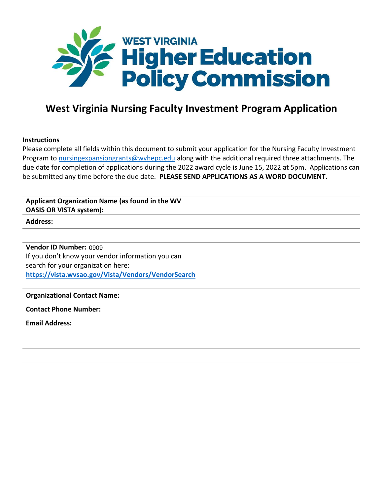

# **West Virginia Nursing Faculty Investment Program Application**

## **Instructions**

Please complete all fields within this document to submit your application for the Nursing Faculty Investment Program t[o nursingexpansiongrants@wvhepc.edu](mailto:nursingexpansiongrants@wvhepc.edu) along with the additional required three attachments. The due date for completion of applications during the 2022 award cycle is June 15, 2022 at 5pm. Applications can be submitted any time before the due date. **PLEASE SEND APPLICATIONS AS A WORD DOCUMENT.**

## **Applicant Organization Name (as found in the WV OASIS OR VISTA system):**

**Address:**

**Vendor ID Number:**  0909If you don't know your vendor information you can search for your organization here: **<https://vista.wvsao.gov/Vista/Vendors/VendorSearch>**

## **Organizational Contact Name:**

## **Contact Phone Number:**

## **Email Address:**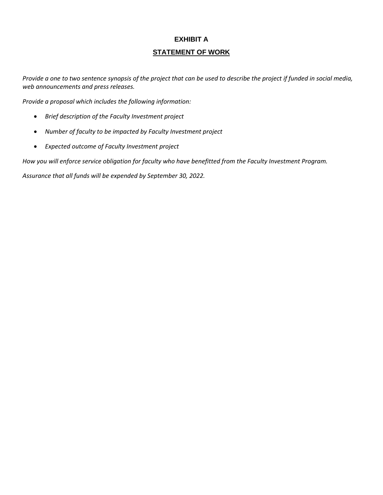## **EXHIBIT A**

## **STATEMENT OF WORK**

Provide a one to two sentence synopsis of the project that can be used to describe the project if funded in social media, *web announcements and press releases.*

*Provide a proposal which includes the following information:*

- *Brief description of the Faculty Investment project*
- *Number of faculty to be impacted by Faculty Investment project*
- *Expected outcome of Faculty Investment project*

*How you will enforce service obligation for faculty who have benefitted from the Faculty Investment Program.*

*Assurance that all funds will be expended by September 30, 2022.*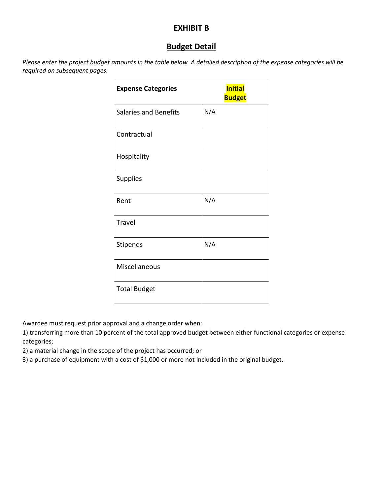# **EXHIBIT B**

# **Budget Detail**

Please enter the project budget amounts in the table below. A detailed description of the expense categories will be *required on subsequent pages.*

| <b>Expense Categories</b>    | <b>Initial</b><br><b>Budget</b> |
|------------------------------|---------------------------------|
| <b>Salaries and Benefits</b> | N/A                             |
| Contractual                  |                                 |
| Hospitality                  |                                 |
| Supplies                     |                                 |
| Rent                         | N/A                             |
| <b>Travel</b>                |                                 |
| Stipends                     | N/A                             |
| Miscellaneous                |                                 |
| <b>Total Budget</b>          |                                 |

Awardee must request prior approval and a change order when:

1) transferring more than 10 percent of the total approved budget between either functional categories or expense categories;

2) a material change in the scope of the project has occurred; or

3) a purchase of equipment with a cost of \$1,000 or more not included in the original budget.